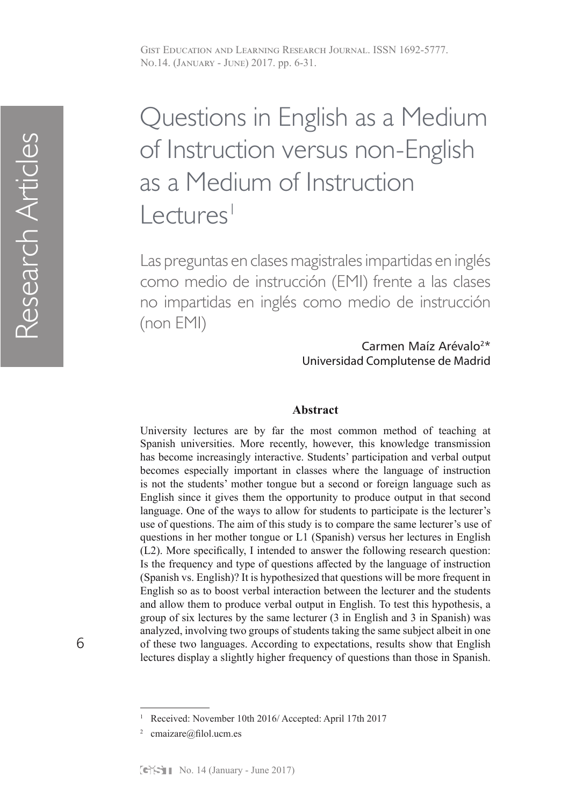# Questions in English as a Medium of Instruction versus non-English as a Medium of Instruction  $L$ ectures<sup>1</sup>

Las preguntas en clases magistrales impartidas en inglés como medio de instrucción (EMI) frente a las clases no impartidas en inglés como medio de instrucción (non EMI)

> Carmen Maíz Arévalo2\* Universidad Complutense de Madrid

# **Abstract**

University lectures are by far the most common method of teaching at Spanish universities. More recently, however, this knowledge transmission has become increasingly interactive. Students' participation and verbal output becomes especially important in classes where the language of instruction is not the students' mother tongue but a second or foreign language such as English since it gives them the opportunity to produce output in that second language. One of the ways to allow for students to participate is the lecturer's use of questions. The aim of this study is to compare the same lecturer's use of questions in her mother tongue or L1 (Spanish) versus her lectures in English (L2). More specifically, I intended to answer the following research question: Is the frequency and type of questions affected by the language of instruction (Spanish vs. English)? It is hypothesized that questions will be more frequent in English so as to boost verbal interaction between the lecturer and the students and allow them to produce verbal output in English. To test this hypothesis, a group of six lectures by the same lecturer (3 in English and 3 in Spanish) was analyzed, involving two groups of students taking the same subject albeit in one of these two languages. According to expectations, results show that English lectures display a slightly higher frequency of questions than those in Spanish.

<sup>1</sup> Received: November 10th 2016/ Accepted: April 17th 2017

cmaizare@filol.ucm.es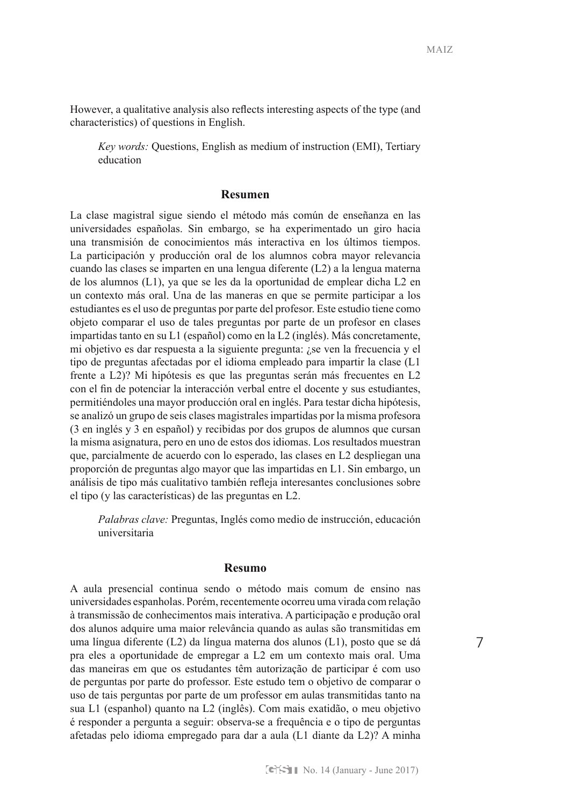However, a qualitative analysis also reflects interesting aspects of the type (and characteristics) of questions in English.

*Key words:* Questions, English as medium of instruction (EMI), Tertiary education

#### **Resumen**

La clase magistral sigue siendo el método más común de enseñanza en las universidades españolas. Sin embargo, se ha experimentado un giro hacia una transmisión de conocimientos más interactiva en los últimos tiempos. La participación y producción oral de los alumnos cobra mayor relevancia cuando las clases se imparten en una lengua diferente (L2) a la lengua materna de los alumnos (L1), ya que se les da la oportunidad de emplear dicha L2 en un contexto más oral. Una de las maneras en que se permite participar a los estudiantes es el uso de preguntas por parte del profesor. Este estudio tiene como objeto comparar el uso de tales preguntas por parte de un profesor en clases impartidas tanto en su L1 (español) como en la L2 (inglés). Más concretamente, mi objetivo es dar respuesta a la siguiente pregunta: ¿se ven la frecuencia y el tipo de preguntas afectadas por el idioma empleado para impartir la clase (L1 frente a L2)? Mi hipótesis es que las preguntas serán más frecuentes en L2 con el fin de potenciar la interacción verbal entre el docente y sus estudiantes, permitiéndoles una mayor producción oral en inglés. Para testar dicha hipótesis, se analizó un grupo de seis clases magistrales impartidas por la misma profesora (3 en inglés y 3 en español) y recibidas por dos grupos de alumnos que cursan la misma asignatura, pero en uno de estos dos idiomas. Los resultados muestran que, parcialmente de acuerdo con lo esperado, las clases en L2 despliegan una proporción de preguntas algo mayor que las impartidas en L1. Sin embargo, un análisis de tipo más cualitativo también refleja interesantes conclusiones sobre el tipo (y las características) de las preguntas en L2.

*Palabras clave:* Preguntas, Inglés como medio de instrucción, educación universitaria

## **Resumo**

A aula presencial continua sendo o método mais comum de ensino nas universidades espanholas. Porém, recentemente ocorreu uma virada com relação à transmissão de conhecimentos mais interativa. A participação e produção oral dos alunos adquire uma maior relevância quando as aulas são transmitidas em uma língua diferente (L2) da língua materna dos alunos (L1), posto que se dá pra eles a oportunidade de empregar a L2 em um contexto mais oral. Uma das maneiras em que os estudantes têm autorização de participar é com uso de perguntas por parte do professor. Este estudo tem o objetivo de comparar o uso de tais perguntas por parte de um professor em aulas transmitidas tanto na sua L1 (espanhol) quanto na L2 (inglês). Com mais exatidão, o meu objetivo é responder a pergunta a seguir: observa-se a frequência e o tipo de perguntas afetadas pelo idioma empregado para dar a aula (L1 diante da L2)? A minha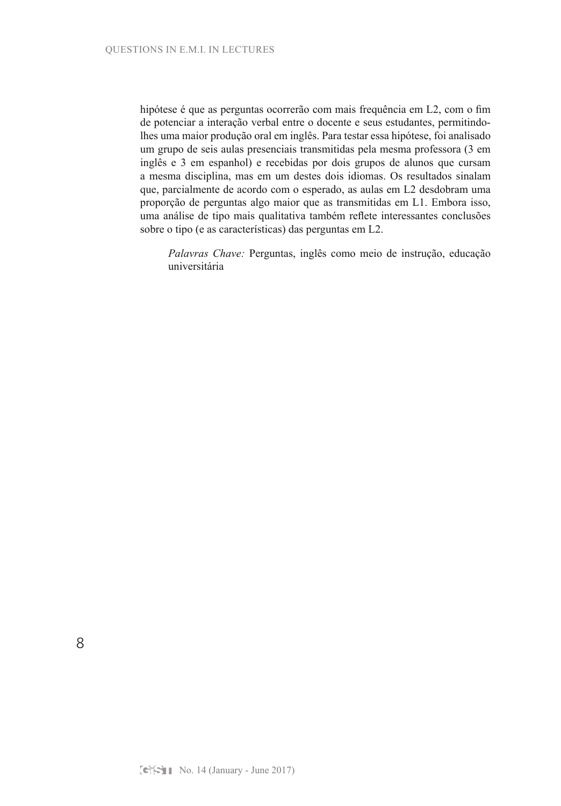hipótese é que as perguntas ocorrerão com mais frequência em L2, com o fim de potenciar a interação verbal entre o docente e seus estudantes, permitindolhes uma maior produção oral em inglês. Para testar essa hipótese, foi analisado um grupo de seis aulas presenciais transmitidas pela mesma professora (3 em inglês e 3 em espanhol) e recebidas por dois grupos de alunos que cursam a mesma disciplina, mas em um destes dois idiomas. Os resultados sinalam que, parcialmente de acordo com o esperado, as aulas em L2 desdobram uma proporção de perguntas algo maior que as transmitidas em L1. Embora isso, uma análise de tipo mais qualitativa também reflete interessantes conclusões sobre o tipo (e as características) das perguntas em L2.

*Palavras Chave:* Perguntas, inglês como meio de instrução, educação universitária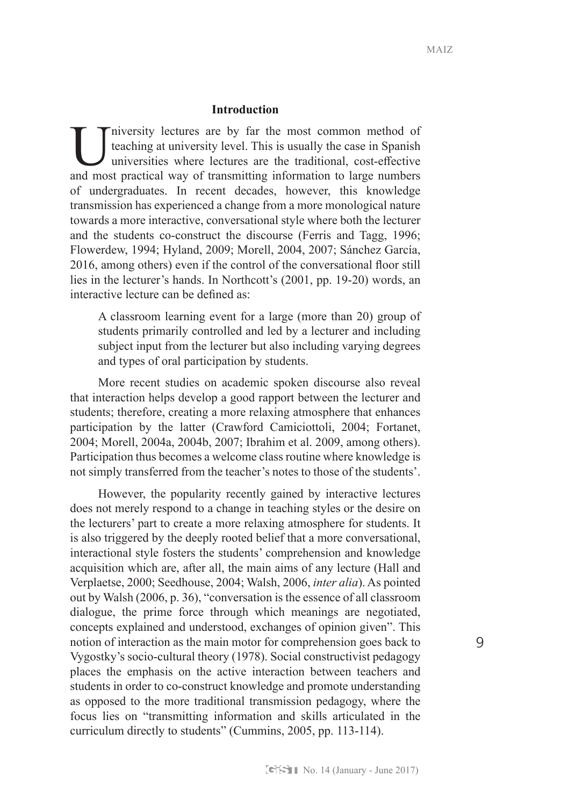## **Introduction**

Iniversity lectures are by far the most common method of teaching at university level. This is usually the case in Spanish universities where lectures are the traditional, cost-effective and most practical way of transmitt teaching at university level. This is usually the case in Spanish universities where lectures are the traditional, cost-effective and most practical way of transmitting information to large numbers of undergraduates. In recent decades, however, this knowledge transmission has experienced a change from a more monological nature towards a more interactive, conversational style where both the lecturer and the students co-construct the discourse (Ferris and Tagg, 1996; Flowerdew, 1994; Hyland, 2009; Morell, 2004, 2007; Sánchez García, 2016, among others) even if the control of the conversational floor still lies in the lecturer's hands. In Northcott's (2001, pp. 19-20) words, an interactive lecture can be defined as:

A classroom learning event for a large (more than 20) group of students primarily controlled and led by a lecturer and including subject input from the lecturer but also including varying degrees and types of oral participation by students.

More recent studies on academic spoken discourse also reveal that interaction helps develop a good rapport between the lecturer and students; therefore, creating a more relaxing atmosphere that enhances participation by the latter (Crawford Camiciottoli, 2004; Fortanet, 2004; Morell, 2004a, 2004b, 2007; Ibrahim et al. 2009, among others). Participation thus becomes a welcome class routine where knowledge is not simply transferred from the teacher's notes to those of the students'.

However, the popularity recently gained by interactive lectures does not merely respond to a change in teaching styles or the desire on the lecturers' part to create a more relaxing atmosphere for students. It is also triggered by the deeply rooted belief that a more conversational, interactional style fosters the students' comprehension and knowledge acquisition which are, after all, the main aims of any lecture (Hall and Verplaetse, 2000; Seedhouse, 2004; Walsh, 2006, *inter alia*). As pointed out by Walsh (2006, p. 36), "conversation is the essence of all classroom dialogue, the prime force through which meanings are negotiated, concepts explained and understood, exchanges of opinion given". This notion of interaction as the main motor for comprehension goes back to Vygostky's socio-cultural theory (1978). Social constructivist pedagogy places the emphasis on the active interaction between teachers and students in order to co-construct knowledge and promote understanding as opposed to the more traditional transmission pedagogy, where the focus lies on "transmitting information and skills articulated in the curriculum directly to students" (Cummins, 2005, pp. 113-114).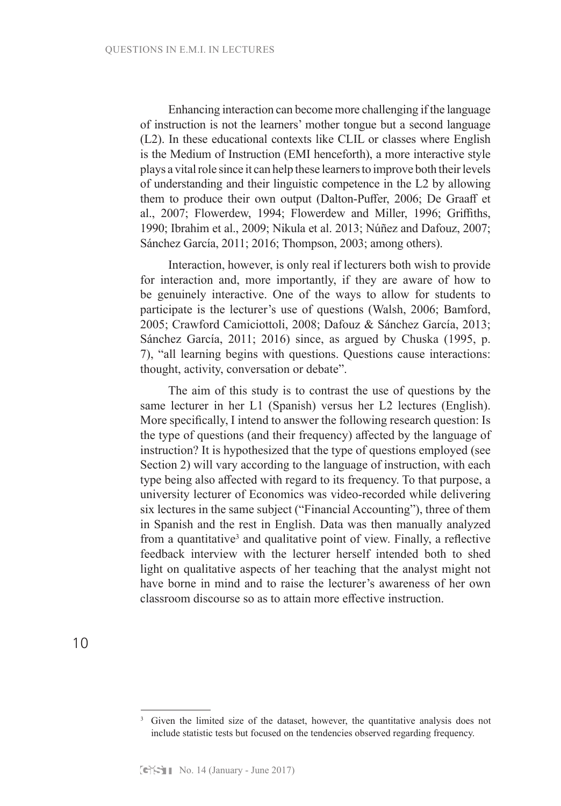Enhancing interaction can become more challenging if the language of instruction is not the learners' mother tongue but a second language (L2). In these educational contexts like CLIL or classes where English is the Medium of Instruction (EMI henceforth), a more interactive style plays a vital role since it can help these learners to improve both their levels of understanding and their linguistic competence in the L2 by allowing them to produce their own output (Dalton-Puffer, 2006; De Graaff et al., 2007; Flowerdew, 1994; Flowerdew and Miller, 1996; Griffiths, 1990; Ibrahim et al., 2009; Nikula et al. 2013; Núñez and Dafouz, 2007; Sánchez García, 2011; 2016; Thompson, 2003; among others).

Interaction, however, is only real if lecturers both wish to provide for interaction and, more importantly, if they are aware of how to be genuinely interactive. One of the ways to allow for students to participate is the lecturer's use of questions (Walsh, 2006; Bamford, 2005; Crawford Camiciottoli, 2008; Dafouz & Sánchez García, 2013; Sánchez García, 2011; 2016) since, as argued by Chuska (1995, p. 7), "all learning begins with questions. Questions cause interactions: thought, activity, conversation or debate".

The aim of this study is to contrast the use of questions by the same lecturer in her L1 (Spanish) versus her L2 lectures (English). More specifically, I intend to answer the following research question: Is the type of questions (and their frequency) affected by the language of instruction? It is hypothesized that the type of questions employed (see Section 2) will vary according to the language of instruction, with each type being also affected with regard to its frequency. To that purpose, a university lecturer of Economics was video-recorded while delivering six lectures in the same subject ("Financial Accounting"), three of them in Spanish and the rest in English. Data was then manually analyzed from a quantitative<sup>3</sup> and qualitative point of view. Finally, a reflective feedback interview with the lecturer herself intended both to shed light on qualitative aspects of her teaching that the analyst might not have borne in mind and to raise the lecturer's awareness of her own classroom discourse so as to attain more effective instruction.

10

<sup>&</sup>lt;sup>3</sup> Given the limited size of the dataset, however, the quantitative analysis does not include statistic tests but focused on the tendencies observed regarding frequency.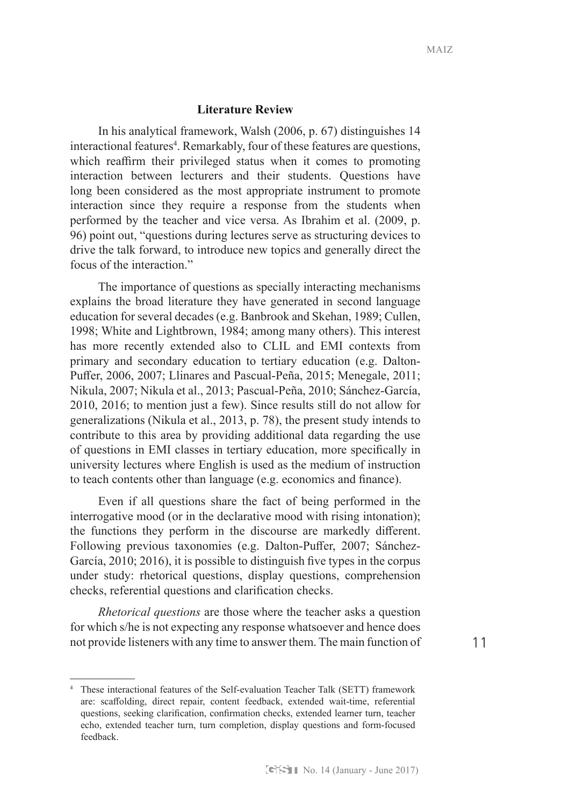## **Literature Review**

In his analytical framework, Walsh (2006, p. 67) distinguishes 14 interactional features<sup>4</sup>. Remarkably, four of these features are questions, which reaffirm their privileged status when it comes to promoting interaction between lecturers and their students. Questions have long been considered as the most appropriate instrument to promote interaction since they require a response from the students when performed by the teacher and vice versa. As Ibrahim et al. (2009, p. 96) point out, "questions during lectures serve as structuring devices to drive the talk forward, to introduce new topics and generally direct the focus of the interaction."

The importance of questions as specially interacting mechanisms explains the broad literature they have generated in second language education for several decades (e.g. Banbrook and Skehan, 1989; Cullen, 1998; White and Lightbrown, 1984; among many others). This interest has more recently extended also to CLIL and EMI contexts from primary and secondary education to tertiary education (e.g. Dalton-Puffer, 2006, 2007; Llinares and Pascual-Peña, 2015; Menegale, 2011; Nikula, 2007; Nikula et al., 2013; Pascual-Peña, 2010; Sánchez-García, 2010, 2016; to mention just a few). Since results still do not allow for generalizations (Nikula et al., 2013, p. 78), the present study intends to contribute to this area by providing additional data regarding the use of questions in EMI classes in tertiary education, more specifically in university lectures where English is used as the medium of instruction to teach contents other than language (e.g. economics and finance).

Even if all questions share the fact of being performed in the interrogative mood (or in the declarative mood with rising intonation); the functions they perform in the discourse are markedly different. Following previous taxonomies (e.g. Dalton-Puffer, 2007; Sánchez-García, 2010; 2016), it is possible to distinguish five types in the corpus under study: rhetorical questions, display questions, comprehension checks, referential questions and clarification checks.

*Rhetorical questions* are those where the teacher asks a question for which s/he is not expecting any response whatsoever and hence does not provide listeners with any time to answer them. The main function of

<sup>4</sup> These interactional features of the Self-evaluation Teacher Talk (SETT) framework are: scaffolding, direct repair, content feedback, extended wait-time, referential questions, seeking clarification, confirmation checks, extended learner turn, teacher echo, extended teacher turn, turn completion, display questions and form-focused feedback.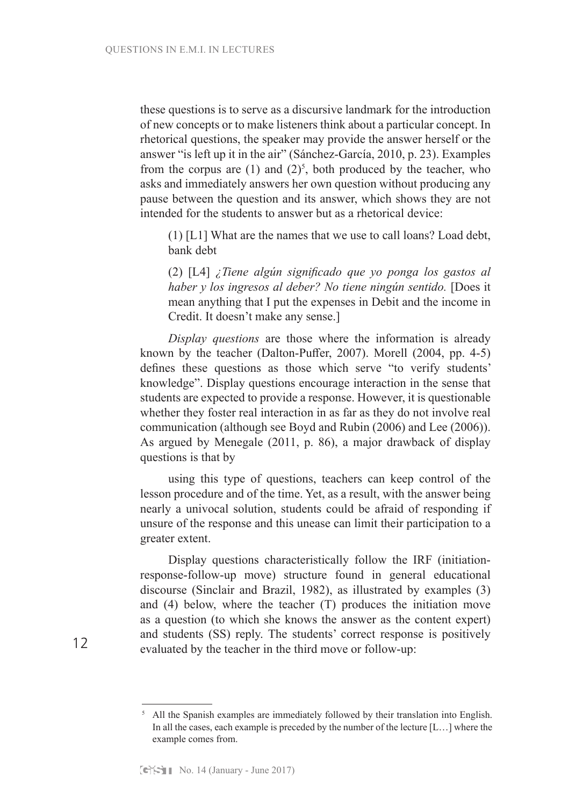these questions is to serve as a discursive landmark for the introduction of new concepts or to make listeners think about a particular concept. In rhetorical questions, the speaker may provide the answer herself or the answer "is left up it in the air" (Sánchez-García, 2010, p. 23). Examples from the corpus are  $(1)$  and  $(2)<sup>5</sup>$ , both produced by the teacher, who asks and immediately answers her own question without producing any pause between the question and its answer, which shows they are not intended for the students to answer but as a rhetorical device:

(1) [L1] What are the names that we use to call loans? Load debt, bank debt

(2) [L4] *¿Tiene algún significado que yo ponga los gastos al haber y los ingresos al deber? No tiene ningún sentido.* [Does it mean anything that I put the expenses in Debit and the income in Credit. It doesn't make any sense.]

*Display questions* are those where the information is already known by the teacher (Dalton-Puffer, 2007). Morell (2004, pp. 4-5) defines these questions as those which serve "to verify students' knowledge". Display questions encourage interaction in the sense that students are expected to provide a response. However, it is questionable whether they foster real interaction in as far as they do not involve real communication (although see Boyd and Rubin (2006) and Lee (2006)). As argued by Menegale (2011, p. 86), a major drawback of display questions is that by

using this type of questions, teachers can keep control of the lesson procedure and of the time. Yet, as a result, with the answer being nearly a univocal solution, students could be afraid of responding if unsure of the response and this unease can limit their participation to a greater extent.

Display questions characteristically follow the IRF (initiationresponse-follow-up move) structure found in general educational discourse (Sinclair and Brazil, 1982), as illustrated by examples (3) and (4) below, where the teacher (T) produces the initiation move as a question (to which she knows the answer as the content expert) and students (SS) reply. The students' correct response is positively evaluated by the teacher in the third move or follow-up:

<sup>&</sup>lt;sup>5</sup> All the Spanish examples are immediately followed by their translation into English. In all the cases, each example is preceded by the number of the lecture [L…] where the example comes from.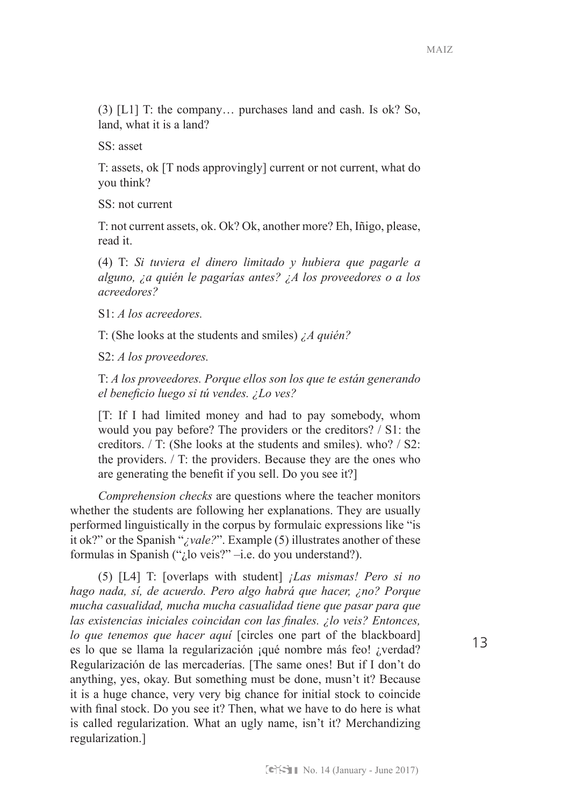(3) [L1] T: the company… purchases land and cash. Is ok? So, land, what it is a land?

SS: asset

T: assets, ok [T nods approvingly] current or not current, what do you think?

SS: not current

T: not current assets, ok. Ok? Ok, another more? Eh, Iñigo, please, read it.

(4) T: *Si tuviera el dinero limitado y hubiera que pagarle a alguno, ¿a quién le pagarías antes? ¿A los proveedores o a los acreedores?*

S1: *A los acreedores.*

T: (She looks at the students and smiles) *¿A quién?*

S2: *A los proveedores.*

T: *A los proveedores. Porque ellos son los que te están generando el beneficio luego si tú vendes. ¿Lo ves?*

[T: If I had limited money and had to pay somebody, whom would you pay before? The providers or the creditors? / S1: the creditors. / T: (She looks at the students and smiles). who? / S2: the providers. / T: the providers. Because they are the ones who are generating the benefit if you sell. Do you see it?]

*Comprehension checks* are questions where the teacher monitors whether the students are following her explanations. They are usually performed linguistically in the corpus by formulaic expressions like "is it ok?" or the Spanish "*¿vale?*". Example (5) illustrates another of these formulas in Spanish ("¿lo veis?" –i.e. do you understand?).

(5) [L4] T: [overlaps with student] *¡Las mismas! Pero si no hago nada, sí, de acuerdo. Pero algo habrá que hacer, ¿no? Porque mucha casualidad, mucha mucha casualidad tiene que pasar para que las existencias iniciales coincidan con las finales. ¿lo veis? Entonces, lo que tenemos que hacer aquí* [circles one part of the blackboard] es lo que se llama la regularización ¡qué nombre más feo! ¿verdad? Regularización de las mercaderías. [The same ones! But if I don't do anything, yes, okay. But something must be done, musn't it? Because it is a huge chance, very very big chance for initial stock to coincide with final stock. Do you see it? Then, what we have to do here is what is called regularization. What an ugly name, isn't it? Merchandizing regularization.]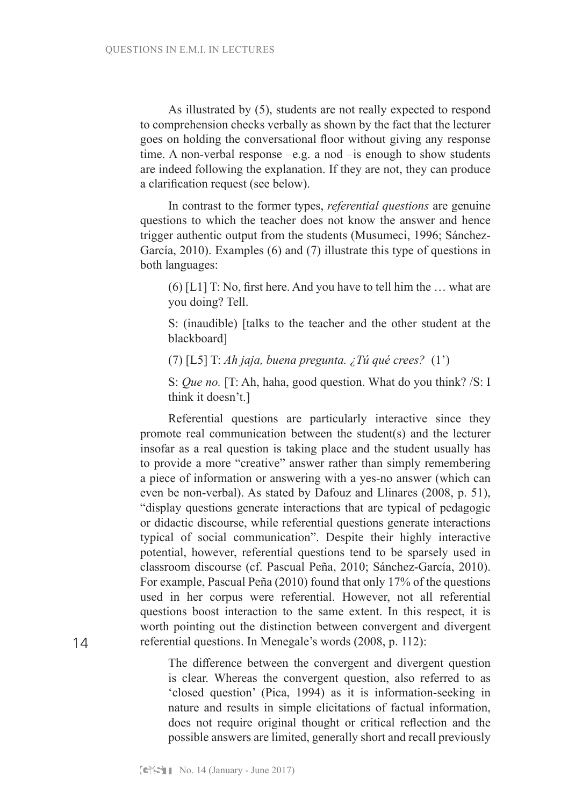As illustrated by (5), students are not really expected to respond to comprehension checks verbally as shown by the fact that the lecturer goes on holding the conversational floor without giving any response time. A non-verbal response –e.g. a nod –is enough to show students are indeed following the explanation. If they are not, they can produce a clarification request (see below).

In contrast to the former types, *referential questions* are genuine questions to which the teacher does not know the answer and hence trigger authentic output from the students (Musumeci, 1996; Sánchez-García, 2010). Examples (6) and (7) illustrate this type of questions in both languages:

(6) [L1] T: No, first here. And you have to tell him the … what are you doing? Tell.

S: (inaudible) [talks to the teacher and the other student at the blackboard]

(7) [L5] T: *Ah jaja, buena pregunta. ¿Tú qué crees?* (1')

S: *Que no.* [T: Ah, haha, good question. What do you think? /S: I think it doesn't.]

Referential questions are particularly interactive since they promote real communication between the student(s) and the lecturer insofar as a real question is taking place and the student usually has to provide a more "creative" answer rather than simply remembering a piece of information or answering with a yes-no answer (which can even be non-verbal). As stated by Dafouz and Llinares (2008, p. 51), "display questions generate interactions that are typical of pedagogic or didactic discourse, while referential questions generate interactions typical of social communication". Despite their highly interactive potential, however, referential questions tend to be sparsely used in classroom discourse (cf. Pascual Peña, 2010; Sánchez-García, 2010). For example, Pascual Peña (2010) found that only 17% of the questions used in her corpus were referential. However, not all referential questions boost interaction to the same extent. In this respect, it is worth pointing out the distinction between convergent and divergent referential questions. In Menegale's words (2008, p. 112):

The difference between the convergent and divergent question is clear. Whereas the convergent question, also referred to as 'closed question' (Pica, 1994) as it is information-seeking in nature and results in simple elicitations of factual information, does not require original thought or critical reflection and the possible answers are limited, generally short and recall previously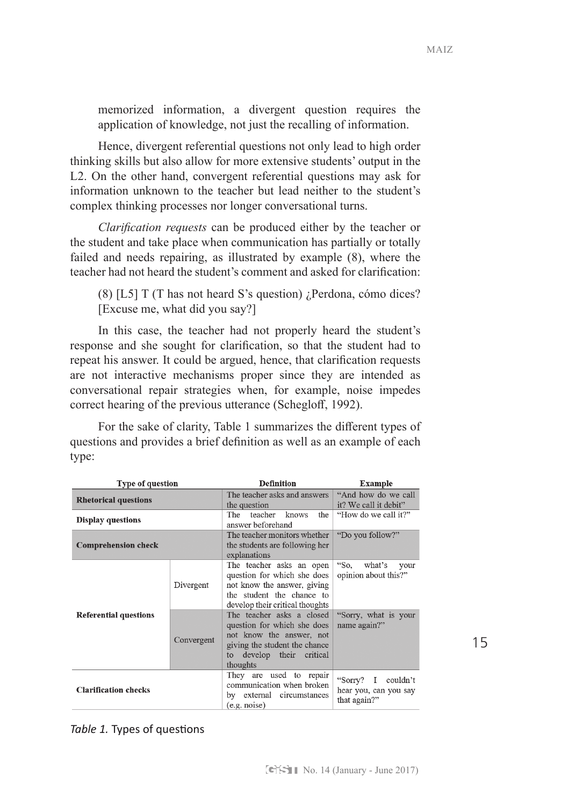15

memorized information, a divergent question requires the application of knowledge, not just the recalling of information.

Hence, divergent referential questions not only lead to high order thinking skills but also allow for more extensive students' output in the L2. On the other hand, convergent referential questions may ask for information unknown to the teacher but lead neither to the student's complex thinking processes nor longer conversational turns.

*Clarification requests* can be produced either by the teacher or the student and take place when communication has partially or totally failed and needs repairing, as illustrated by example (8), where the teacher had not heard the student's comment and asked for clarification:

(8) [L5] T (T has not heard S's question) ¿Perdona, cómo dices? [Excuse me, what did you say?]

In this case, the teacher had not properly heard the student's response and she sought for clarification, so that the student had to repeat his answer. It could be argued, hence, that clarification requests are not interactive mechanisms proper since they are intended as conversational repair strategies when, for example, noise impedes correct hearing of the previous utterance (Schegloff, 1992).

For the sake of clarity, Table 1 summarizes the different types of questions and provides a brief definition as well as an example of each type:

| <b>Type of question</b>      |            | <b>Definition</b>                                                                                                                                                 | Example                                                        |
|------------------------------|------------|-------------------------------------------------------------------------------------------------------------------------------------------------------------------|----------------------------------------------------------------|
| <b>Rhetorical questions</b>  |            | The teacher asks and answers<br>the question                                                                                                                      | "And how do we call<br>it? We call it debit"                   |
| <b>Display questions</b>     |            | teacher<br>the<br>The<br>knows<br>answer beforehand                                                                                                               | "How do we call it?"                                           |
| <b>Comprehension check</b>   |            | The teacher monitors whether<br>the students are following her<br>explanations                                                                                    | "Do you follow?"                                               |
|                              | Divergent  | The teacher asks an open<br>question for which she does<br>not know the answer, giving<br>the student the chance to<br>develop their critical thoughts            | "So,<br>what's<br>your<br>opinion about this?"                 |
| <b>Referential questions</b> | Convergent | The teacher asks a closed<br>question for which she does<br>not know the answer, not<br>giving the student the chance<br>develop their critical<br>to<br>thoughts | "Sorry, what is your<br>name again?"                           |
| <b>Clarification checks</b>  |            | They are used to repair<br>communication when broken<br>by external circumstances<br>(e.g. noise)                                                                 | "Sorry? I<br>couldn't<br>hear you, can you say<br>that again?" |

*Table 1.* Types of questions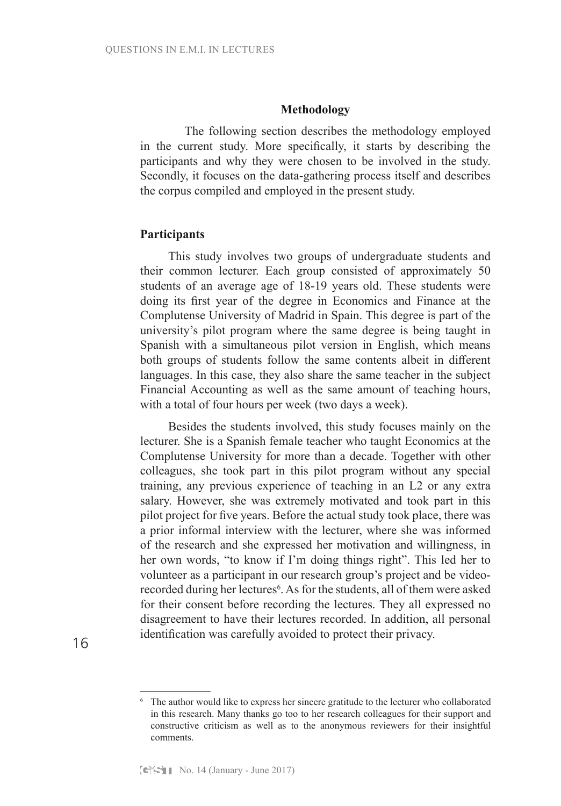#### **Methodology**

The following section describes the methodology employed in the current study. More specifically, it starts by describing the participants and why they were chosen to be involved in the study. Secondly, it focuses on the data-gathering process itself and describes the corpus compiled and employed in the present study.

#### **Participants**

This study involves two groups of undergraduate students and their common lecturer. Each group consisted of approximately 50 students of an average age of 18-19 years old. These students were doing its first year of the degree in Economics and Finance at the Complutense University of Madrid in Spain. This degree is part of the university's pilot program where the same degree is being taught in Spanish with a simultaneous pilot version in English, which means both groups of students follow the same contents albeit in different languages. In this case, they also share the same teacher in the subject Financial Accounting as well as the same amount of teaching hours, with a total of four hours per week (two days a week).

Besides the students involved, this study focuses mainly on the lecturer. She is a Spanish female teacher who taught Economics at the Complutense University for more than a decade. Together with other colleagues, she took part in this pilot program without any special training, any previous experience of teaching in an L2 or any extra salary. However, she was extremely motivated and took part in this pilot project for five years. Before the actual study took place, there was a prior informal interview with the lecturer, where she was informed of the research and she expressed her motivation and willingness, in her own words, "to know if I'm doing things right". This led her to volunteer as a participant in our research group's project and be videorecorded during her lectures<sup>6</sup>. As for the students, all of them were asked for their consent before recording the lectures. They all expressed no disagreement to have their lectures recorded. In addition, all personal identification was carefully avoided to protect their privacy.

<sup>&</sup>lt;sup>6</sup> The author would like to express her sincere gratitude to the lecturer who collaborated in this research. Many thanks go too to her research colleagues for their support and constructive criticism as well as to the anonymous reviewers for their insightful comments.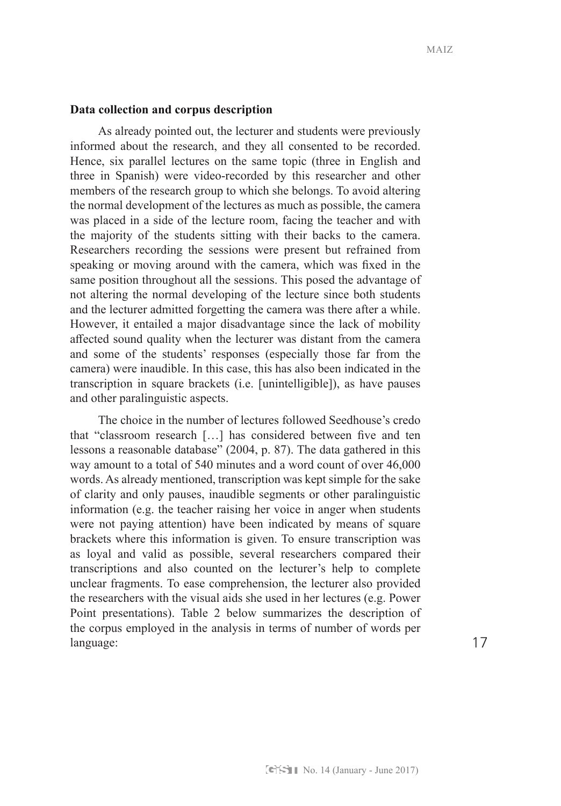#### **Data collection and corpus description**

As already pointed out, the lecturer and students were previously informed about the research, and they all consented to be recorded. Hence, six parallel lectures on the same topic (three in English and three in Spanish) were video-recorded by this researcher and other members of the research group to which she belongs. To avoid altering the normal development of the lectures as much as possible, the camera was placed in a side of the lecture room, facing the teacher and with the majority of the students sitting with their backs to the camera. Researchers recording the sessions were present but refrained from speaking or moving around with the camera, which was fixed in the same position throughout all the sessions. This posed the advantage of not altering the normal developing of the lecture since both students and the lecturer admitted forgetting the camera was there after a while. However, it entailed a major disadvantage since the lack of mobility affected sound quality when the lecturer was distant from the camera and some of the students' responses (especially those far from the camera) were inaudible. In this case, this has also been indicated in the transcription in square brackets (i.e. [unintelligible]), as have pauses and other paralinguistic aspects.

The choice in the number of lectures followed Seedhouse's credo that "classroom research […] has considered between five and ten lessons a reasonable database" (2004, p. 87). The data gathered in this way amount to a total of 540 minutes and a word count of over 46,000 words. As already mentioned, transcription was kept simple for the sake of clarity and only pauses, inaudible segments or other paralinguistic information (e.g. the teacher raising her voice in anger when students were not paying attention) have been indicated by means of square brackets where this information is given. To ensure transcription was as loyal and valid as possible, several researchers compared their transcriptions and also counted on the lecturer's help to complete unclear fragments. To ease comprehension, the lecturer also provided the researchers with the visual aids she used in her lectures (e.g. Power Point presentations). Table 2 below summarizes the description of the corpus employed in the analysis in terms of number of words per language: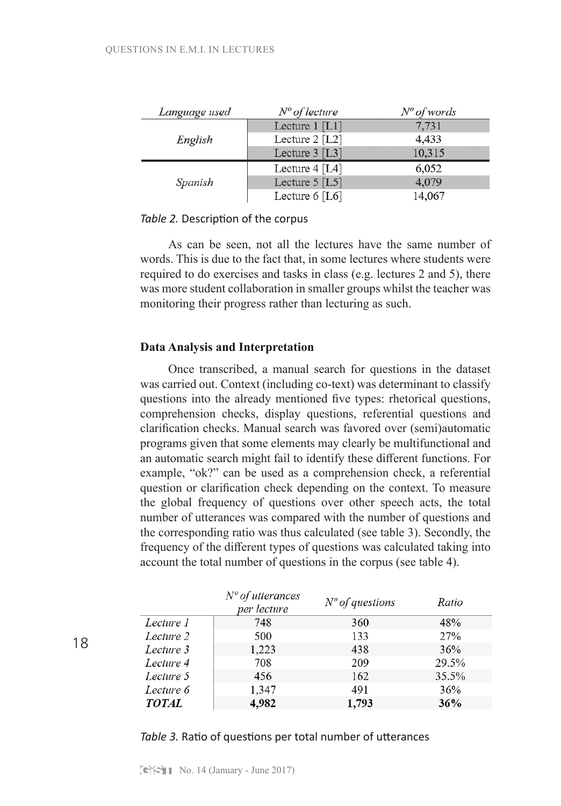| Language used | $No$ of lecture  | $N^{\circ}$ of words |
|---------------|------------------|----------------------|
|               | Lecture $1$ [L1] | 7.731                |
| English       | Lecture $2$ [L2] | 4,433                |
|               | Lecture $3$ [L3] | 10,315               |
| Spanish       | Lecture $4$ [L4] | 6,052                |
|               | Lecture $5$ [L5] | 4,079                |
|               | Lecture $6$ [L6] | 14,067               |

### *Table 2.* Description of the corpus

As can be seen, not all the lectures have the same number of words. This is due to the fact that, in some lectures where students were required to do exercises and tasks in class (e.g. lectures 2 and 5), there was more student collaboration in smaller groups whilst the teacher was monitoring their progress rather than lecturing as such.

## **Data Analysis and Interpretation**

Once transcribed, a manual search for questions in the dataset was carried out. Context (including co-text) was determinant to classify questions into the already mentioned five types: rhetorical questions, comprehension checks, display questions, referential questions and clarification checks. Manual search was favored over (semi)automatic programs given that some elements may clearly be multifunctional and an automatic search might fail to identify these different functions. For example, "ok?" can be used as a comprehension check, a referential question or clarification check depending on the context. To measure the global frequency of questions over other speech acts, the total number of utterances was compared with the number of questions and the corresponding ratio was thus calculated (see table 3). Secondly, the frequency of the different types of questions was calculated taking into account the total number of questions in the corpus (see table 4).

|              | $No$ of utterances<br>per lecture | $No$ of questions | Ratio |
|--------------|-----------------------------------|-------------------|-------|
| Lecture 1    | 748                               | 360               | 48%   |
| Lecture 2    | 500                               | 133               | 27%   |
| Lecture 3    | 1,223                             | 438               | 36%   |
| Lecture 4    | 708                               | 209               | 29.5% |
| Lecture 5    | 456                               | 162               | 35.5% |
| Lecture 6    | 1,347                             | 491               | 36%   |
| <b>TOTAL</b> | 4,982                             | 1,793             | 36%   |

## *Table 3.* Ratio of questions per total number of utterances

18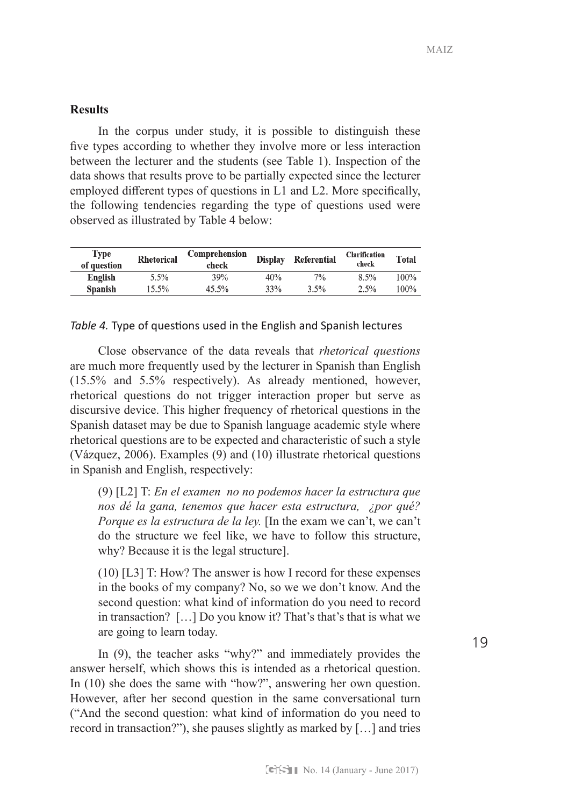# **Results**

In the corpus under study, it is possible to distinguish these five types according to whether they involve more or less interaction between the lecturer and the students (see Table 1). Inspection of the data shows that results prove to be partially expected since the lecturer employed different types of questions in L1 and L2. More specifically, the following tendencies regarding the type of questions used were observed as illustrated by Table 4 below:

| of question<br>check                               |      |         |
|----------------------------------------------------|------|---------|
| 70/0<br>39%<br>5.5%<br>40%<br>English              | 8.5% | $100\%$ |
| 33%<br>$3.5\%$<br>15.5%<br>45.5%<br><b>Spanish</b> | 2.5% | $100\%$ |

### *Table 4.* Type of questions used in the English and Spanish lectures

Close observance of the data reveals that *rhetorical questions* are much more frequently used by the lecturer in Spanish than English (15.5% and 5.5% respectively). As already mentioned, however, rhetorical questions do not trigger interaction proper but serve as discursive device. This higher frequency of rhetorical questions in the Spanish dataset may be due to Spanish language academic style where rhetorical questions are to be expected and characteristic of such a style (Vázquez, 2006). Examples (9) and (10) illustrate rhetorical questions in Spanish and English, respectively:

(9) [L2] T: *En el examen no no podemos hacer la estructura que nos dé la gana, tenemos que hacer esta estructura, ¿por qué? Porque es la estructura de la ley.* [In the exam we can't, we can't do the structure we feel like, we have to follow this structure, why? Because it is the legal structure].

(10) [L3] T: How? The answer is how I record for these expenses in the books of my company? No, so we we don't know. And the second question: what kind of information do you need to record in transaction? […] Do you know it? That's that's that is what we are going to learn today.

In (9), the teacher asks "why?" and immediately provides the answer herself, which shows this is intended as a rhetorical question. In (10) she does the same with "how?", answering her own question. However, after her second question in the same conversational turn ("And the second question: what kind of information do you need to record in transaction?"), she pauses slightly as marked by […] and tries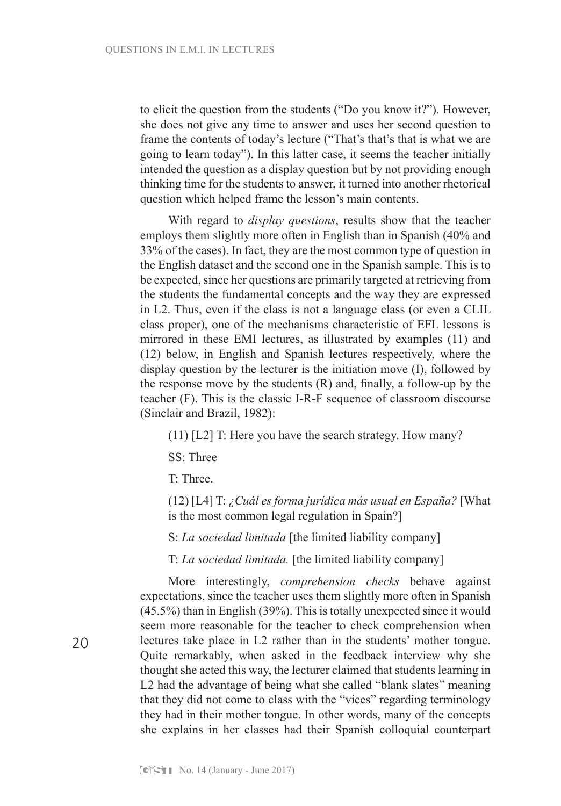to elicit the question from the students ("Do you know it?"). However, she does not give any time to answer and uses her second question to frame the contents of today's lecture ("That's that's that is what we are going to learn today"). In this latter case, it seems the teacher initially intended the question as a display question but by not providing enough thinking time for the students to answer, it turned into another rhetorical question which helped frame the lesson's main contents.

With regard to *display questions*, results show that the teacher employs them slightly more often in English than in Spanish (40% and 33% of the cases). In fact, they are the most common type of question in the English dataset and the second one in the Spanish sample. This is to be expected, since her questions are primarily targeted at retrieving from the students the fundamental concepts and the way they are expressed in L2. Thus, even if the class is not a language class (or even a CLIL class proper), one of the mechanisms characteristic of EFL lessons is mirrored in these EMI lectures, as illustrated by examples (11) and (12) below, in English and Spanish lectures respectively, where the display question by the lecturer is the initiation move (I), followed by the response move by the students (R) and, finally, a follow-up by the teacher (F). This is the classic I-R-F sequence of classroom discourse (Sinclair and Brazil, 1982):

(11) [L2] T: Here you have the search strategy. How many?

SS: Three

T: Three.

(12) [L4] T: *¿Cuál es forma jurídica más usual en España?* [What is the most common legal regulation in Spain?]

S: *La sociedad limitada* [the limited liability company]

T: *La sociedad limitada.* [the limited liability company]

More interestingly, *comprehension checks* behave against expectations, since the teacher uses them slightly more often in Spanish (45.5%) than in English (39%). This is totally unexpected since it would seem more reasonable for the teacher to check comprehension when lectures take place in L2 rather than in the students' mother tongue. Quite remarkably, when asked in the feedback interview why she thought she acted this way, the lecturer claimed that students learning in L2 had the advantage of being what she called "blank slates" meaning that they did not come to class with the "vices" regarding terminology they had in their mother tongue. In other words, many of the concepts she explains in her classes had their Spanish colloquial counterpart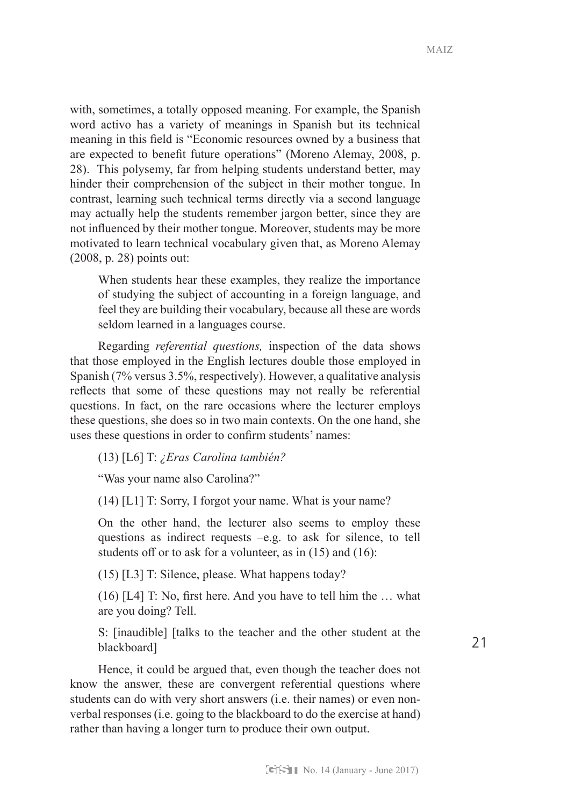with, sometimes, a totally opposed meaning. For example, the Spanish word activo has a variety of meanings in Spanish but its technical meaning in this field is "Economic resources owned by a business that are expected to benefit future operations" (Moreno Alemay, 2008, p. 28). This polysemy, far from helping students understand better, may hinder their comprehension of the subject in their mother tongue. In contrast, learning such technical terms directly via a second language may actually help the students remember jargon better, since they are not influenced by their mother tongue. Moreover, students may be more motivated to learn technical vocabulary given that, as Moreno Alemay (2008, p. 28) points out:

When students hear these examples, they realize the importance of studying the subject of accounting in a foreign language, and feel they are building their vocabulary, because all these are words seldom learned in a languages course.

Regarding *referential questions,* inspection of the data shows that those employed in the English lectures double those employed in Spanish (7% versus 3.5%, respectively). However, a qualitative analysis reflects that some of these questions may not really be referential questions. In fact, on the rare occasions where the lecturer employs these questions, she does so in two main contexts. On the one hand, she uses these questions in order to confirm students' names:

(13) [L6] T: *¿Eras Carolina también?*

"Was your name also Carolina?"

(14) [L1] T: Sorry, I forgot your name. What is your name?

On the other hand, the lecturer also seems to employ these questions as indirect requests –e.g. to ask for silence, to tell students off or to ask for a volunteer, as in (15) and (16):

(15) [L3] T: Silence, please. What happens today?

(16) [L4] T: No, first here. And you have to tell him the … what are you doing? Tell.

S: [inaudible] [talks to the teacher and the other student at the blackboard]

Hence, it could be argued that, even though the teacher does not know the answer, these are convergent referential questions where students can do with very short answers (i.e. their names) or even nonverbal responses (i.e. going to the blackboard to do the exercise at hand) rather than having a longer turn to produce their own output.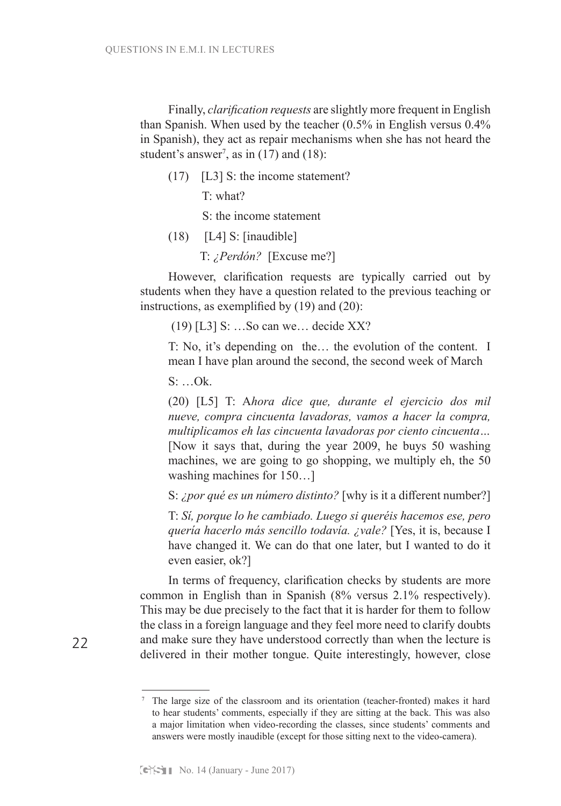Finally, *clarification requests* are slightly more frequent in English than Spanish. When used by the teacher (0.5% in English versus 0.4% in Spanish), they act as repair mechanisms when she has not heard the student's answer<sup>7</sup>, as in  $(17)$  and  $(18)$ :

(17) [L3] S: the income statement?

T: what?

S: the income statement

- $(18)$  [L4] S: [inaudible]
	- T: *¿Perdón?* [Excuse me?]

However, clarification requests are typically carried out by students when they have a question related to the previous teaching or instructions, as exemplified by (19) and (20):

(19) [L3] S: …So can we… decide XX?

T: No, it's depending on the… the evolution of the content. I mean I have plan around the second, the second week of March

S: …Ok.

(20) [L5] T: A*hora dice que, durante el ejercicio dos mil nueve, compra cincuenta lavadoras, vamos a hacer la compra, multiplicamos eh las cincuenta lavadoras por ciento cincuenta…*  [Now it says that, during the year 2009, he buys 50 washing machines, we are going to go shopping, we multiply eh, the 50 washing machines for 150…]

S: *¿por qué es un número distinto?* [why is it a different number?]

T: *Sí, porque lo he cambiado. Luego si queréis hacemos ese, pero quería hacerlo más sencillo todavía. ¿vale?* [Yes, it is, because I have changed it. We can do that one later, but I wanted to do it even easier, ok?]

In terms of frequency, clarification checks by students are more common in English than in Spanish (8% versus 2.1% respectively). This may be due precisely to the fact that it is harder for them to follow the class in a foreign language and they feel more need to clarify doubts and make sure they have understood correctly than when the lecture is delivered in their mother tongue. Quite interestingly, however, close

<sup>7</sup> The large size of the classroom and its orientation (teacher-fronted) makes it hard to hear students' comments, especially if they are sitting at the back. This was also a major limitation when video-recording the classes, since students' comments and answers were mostly inaudible (except for those sitting next to the video-camera).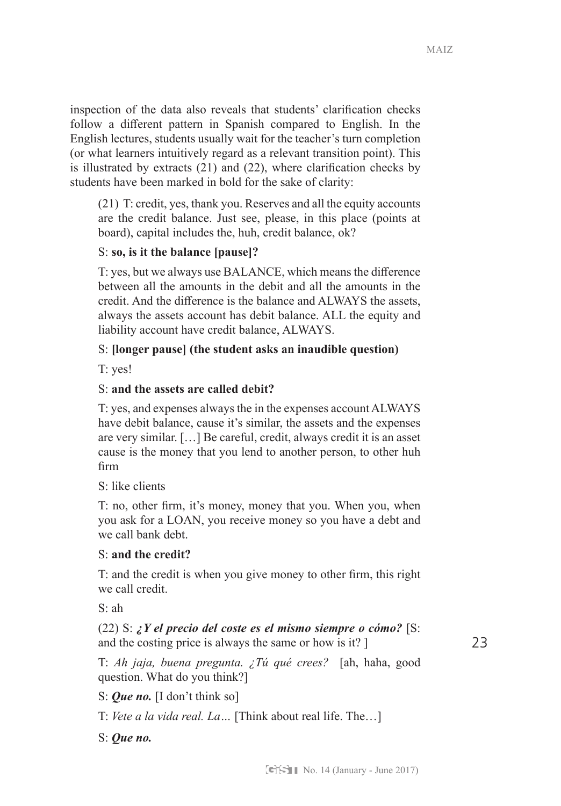23

inspection of the data also reveals that students' clarification checks follow a different pattern in Spanish compared to English. In the English lectures, students usually wait for the teacher's turn completion (or what learners intuitively regard as a relevant transition point). This is illustrated by extracts (21) and (22), where clarification checks by students have been marked in bold for the sake of clarity:

(21) T: credit, yes, thank you. Reserves and all the equity accounts are the credit balance. Just see, please, in this place (points at board), capital includes the, huh, credit balance, ok?

# S: **so, is it the balance [pause]?**

T: yes, but we always use BALANCE, which means the difference between all the amounts in the debit and all the amounts in the credit. And the difference is the balance and ALWAYS the assets, always the assets account has debit balance. ALL the equity and liability account have credit balance, ALWAYS.

# S: **[longer pause] (the student asks an inaudible question)**

T: yes!

# S: **and the assets are called debit?**

T: yes, and expenses always the in the expenses account ALWAYS have debit balance, cause it's similar, the assets and the expenses are very similar. […] Be careful, credit, always credit it is an asset cause is the money that you lend to another person, to other huh firm

S: like clients

T: no, other firm, it's money, money that you. When you, when you ask for a LOAN, you receive money so you have a debt and we call bank debt.

# S: **and the credit?**

T: and the credit is when you give money to other firm, this right we call credit.

S: ah

# (22) S: *¿Y el precio del coste es el mismo siempre o cómo?* [S: and the costing price is always the same or how is it? ]

T: *Ah jaja, buena pregunta. ¿Tú qué crees?* [ah, haha, good question. What do you think?]

S: *Que no.* [I don't think so]

T: *Vete a la vida real. La…* [Think about real life. The…]

S: *Que no.*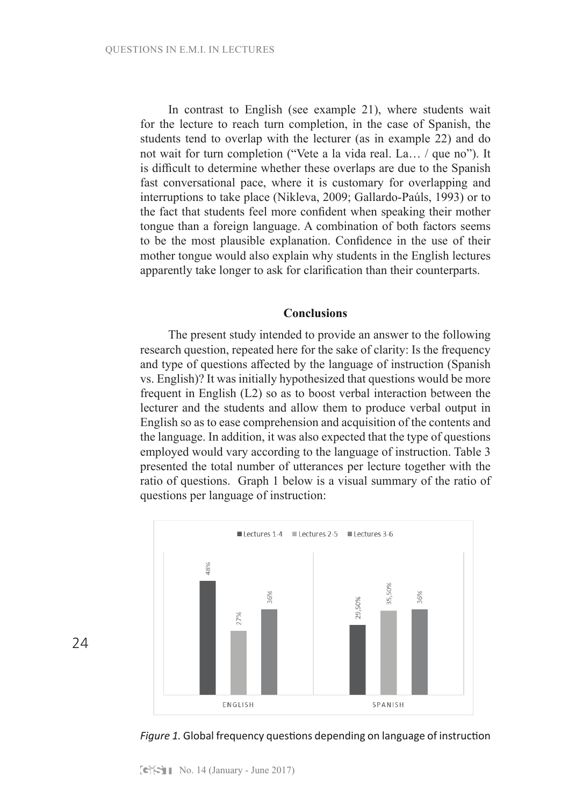In contrast to English (see example 21), where students wait for the lecture to reach turn completion, in the case of Spanish, the students tend to overlap with the lecturer (as in example 22) and do not wait for turn completion ("Vete a la vida real. La… / que no"). It is difficult to determine whether these overlaps are due to the Spanish fast conversational pace, where it is customary for overlapping and interruptions to take place (Nikleva, 2009; Gallardo-Paúls, 1993) or to the fact that students feel more confident when speaking their mother tongue than a foreign language. A combination of both factors seems to be the most plausible explanation. Confidence in the use of their mother tongue would also explain why students in the English lectures apparently take longer to ask for clarification than their counterparts.

## **Conclusions**

The present study intended to provide an answer to the following research question, repeated here for the sake of clarity: Is the frequency and type of questions affected by the language of instruction (Spanish vs. English)? It was initially hypothesized that questions would be more frequent in English (L2) so as to boost verbal interaction between the lecturer and the students and allow them to produce verbal output in English so as to ease comprehension and acquisition of the contents and the language. In addition, it was also expected that the type of questions employed would vary according to the language of instruction. Table 3 presented the total number of utterances per lecture together with the ratio of questions. Graph 1 below is a visual summary of the ratio of questions per language of instruction:



24

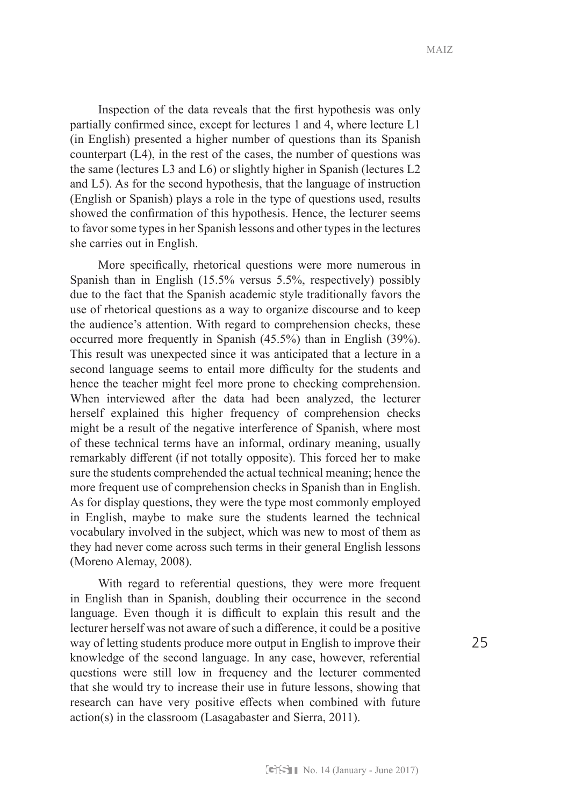$MAIZ$ 

Inspection of the data reveals that the first hypothesis was only partially confirmed since, except for lectures 1 and 4, where lecture L1 (in English) presented a higher number of questions than its Spanish counterpart (L4), in the rest of the cases, the number of questions was the same (lectures L3 and L6) or slightly higher in Spanish (lectures L2 and L5). As for the second hypothesis, that the language of instruction (English or Spanish) plays a role in the type of questions used, results showed the confirmation of this hypothesis. Hence, the lecturer seems to favor some types in her Spanish lessons and other types in the lectures she carries out in English.

More specifically, rhetorical questions were more numerous in Spanish than in English (15.5% versus 5.5%, respectively) possibly due to the fact that the Spanish academic style traditionally favors the use of rhetorical questions as a way to organize discourse and to keep the audience's attention. With regard to comprehension checks, these occurred more frequently in Spanish (45.5%) than in English (39%). This result was unexpected since it was anticipated that a lecture in a second language seems to entail more difficulty for the students and hence the teacher might feel more prone to checking comprehension. When interviewed after the data had been analyzed, the lecturer herself explained this higher frequency of comprehension checks might be a result of the negative interference of Spanish, where most of these technical terms have an informal, ordinary meaning, usually remarkably different (if not totally opposite). This forced her to make sure the students comprehended the actual technical meaning; hence the more frequent use of comprehension checks in Spanish than in English. As for display questions, they were the type most commonly employed in English, maybe to make sure the students learned the technical vocabulary involved in the subject, which was new to most of them as they had never come across such terms in their general English lessons (Moreno Alemay, 2008).

With regard to referential questions, they were more frequent in English than in Spanish, doubling their occurrence in the second language. Even though it is difficult to explain this result and the lecturer herself was not aware of such a difference, it could be a positive way of letting students produce more output in English to improve their knowledge of the second language. In any case, however, referential questions were still low in frequency and the lecturer commented that she would try to increase their use in future lessons, showing that research can have very positive effects when combined with future action(s) in the classroom (Lasagabaster and Sierra, 2011).

25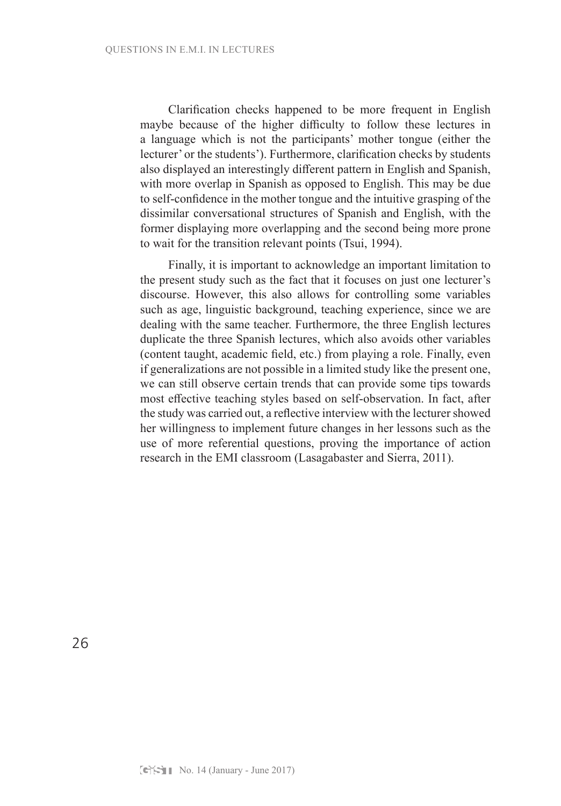Clarification checks happened to be more frequent in English maybe because of the higher difficulty to follow these lectures in a language which is not the participants' mother tongue (either the lecturer' or the students'). Furthermore, clarification checks by students also displayed an interestingly different pattern in English and Spanish, with more overlap in Spanish as opposed to English. This may be due to self-confidence in the mother tongue and the intuitive grasping of the dissimilar conversational structures of Spanish and English, with the former displaying more overlapping and the second being more prone to wait for the transition relevant points (Tsui, 1994).

Finally, it is important to acknowledge an important limitation to the present study such as the fact that it focuses on just one lecturer's discourse. However, this also allows for controlling some variables such as age, linguistic background, teaching experience, since we are dealing with the same teacher. Furthermore, the three English lectures duplicate the three Spanish lectures, which also avoids other variables (content taught, academic field, etc.) from playing a role. Finally, even if generalizations are not possible in a limited study like the present one, we can still observe certain trends that can provide some tips towards most effective teaching styles based on self-observation. In fact, after the study was carried out, a reflective interview with the lecturer showed her willingness to implement future changes in her lessons such as the use of more referential questions, proving the importance of action research in the EMI classroom (Lasagabaster and Sierra, 2011).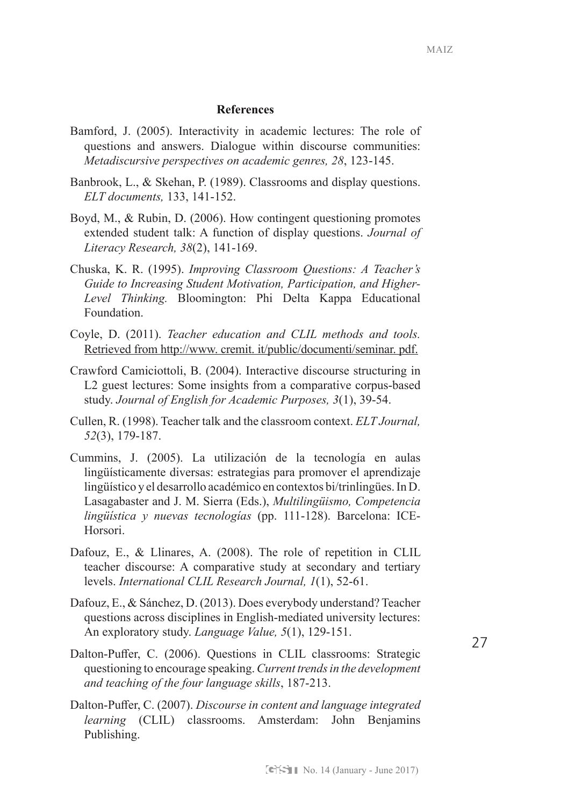## **References**

- Bamford, J. (2005). Interactivity in academic lectures: The role of questions and answers. Dialogue within discourse communities: *Metadiscursive perspectives on academic genres, 28*, 123-145.
- Banbrook, L., & Skehan, P. (1989). Classrooms and display questions. *ELT documents,* 133, 141-152.
- Boyd, M., & Rubin, D. (2006). How contingent questioning promotes extended student talk: A function of display questions. *Journal of Literacy Research, 38*(2), 141-169.
- Chuska, K. R. (1995). *Improving Classroom Questions: A Teacher's Guide to Increasing Student Motivation, Participation, and Higher-Level Thinking.* Bloomington: Phi Delta Kappa Educational Foundation.
- Coyle, D. (2011). *Teacher education and CLIL methods and tools.*  Retrieved from http://www. cremit. it/public/documenti/seminar. pdf.
- Crawford Camiciottoli, B. (2004). Interactive discourse structuring in L2 guest lectures: Some insights from a comparative corpus-based study. *Journal of English for Academic Purposes, 3*(1), 39-54.
- Cullen, R. (1998). Teacher talk and the classroom context. *ELT Journal, 52*(3), 179-187.
- Cummins, J. (2005). La utilización de la tecnología en aulas lingüísticamente diversas: estrategias para promover el aprendizaje lingüístico y el desarrollo académico en contextos bi/trinlingües. In D. Lasagabaster and J. M. Sierra (Eds.), *Multilingüismo, Competencia lingüística y nuevas tecnologías* (pp. 111-128). Barcelona: ICE-Horsori.
- Dafouz, E., & Llinares, A. (2008). The role of repetition in CLIL teacher discourse: A comparative study at secondary and tertiary levels. *International CLIL Research Journal, 1*(1), 52-61.
- Dafouz, E., & Sánchez, D. (2013). Does everybody understand? Teacher questions across disciplines in English-mediated university lectures: An exploratory study. *Language Value, 5*(1), 129-151.
- Dalton-Puffer, C. (2006). Questions in CLIL classrooms: Strategic questioning to encourage speaking. *Current trends in the development and teaching of the four language skills*, 187-213.
- Dalton-Puffer, C. (2007). *Discourse in content and language integrated learning* (CLIL) classrooms. Amsterdam: John Benjamins Publishing.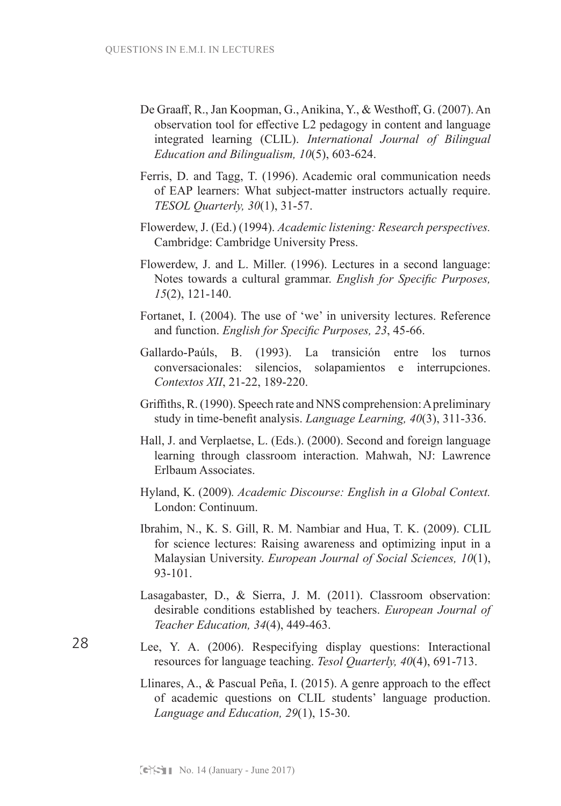- De Graaff, R., Jan Koopman, G., Anikina, Y., & Westhoff, G. (2007). An observation tool for effective L2 pedagogy in content and language integrated learning (CLIL). *International Journal of Bilingual Education and Bilingualism, 10*(5), 603-624.
- Ferris, D. and Tagg, T. (1996). Academic oral communication needs of EAP learners: What subject-matter instructors actually require. *TESOL Quarterly, 30*(1), 31-57.
- Flowerdew, J. (Ed.) (1994). *Academic listening: Research perspectives.*  Cambridge: Cambridge University Press.
- Flowerdew, J. and L. Miller. (1996). Lectures in a second language: Notes towards a cultural grammar. *English for Specific Purposes, 15*(2), 121-140.
- Fortanet, I. (2004). The use of 'we' in university lectures. Reference and function. *English for Specific Purposes, 23*, 45-66.
- Gallardo-Paúls, B. (1993). La transición entre los turnos conversacionales: silencios, solapamientos e interrupciones. *Contextos XII*, 21-22, 189-220.
- Griffiths, R. (1990). Speech rate and NNS comprehension: A preliminary study in time-benefit analysis. *Language Learning, 40*(3), 311-336.
- Hall, J. and Verplaetse, L. (Eds.). (2000). Second and foreign language learning through classroom interaction. Mahwah, NJ: Lawrence Erlbaum Associates.
- Hyland, K. (2009)*. Academic Discourse: English in a Global Context.* London: Continuum.
- Ibrahim, N., K. S. Gill, R. M. Nambiar and Hua, T. K. (2009). CLIL for science lectures: Raising awareness and optimizing input in a Malaysian University. *European Journal of Social Sciences, 10*(1), 93-101.
- Lasagabaster, D., & Sierra, J. M. (2011). Classroom observation: desirable conditions established by teachers. *European Journal of Teacher Education, 34*(4), 449-463.
- Lee, Y. A. (2006). Respecifying display questions: Interactional resources for language teaching. *Tesol Quarterly, 40*(4), 691-713.
	- Llinares, A., & Pascual Peña, I. (2015). A genre approach to the effect of academic questions on CLIL students' language production. *Language and Education, 29*(1), 15-30.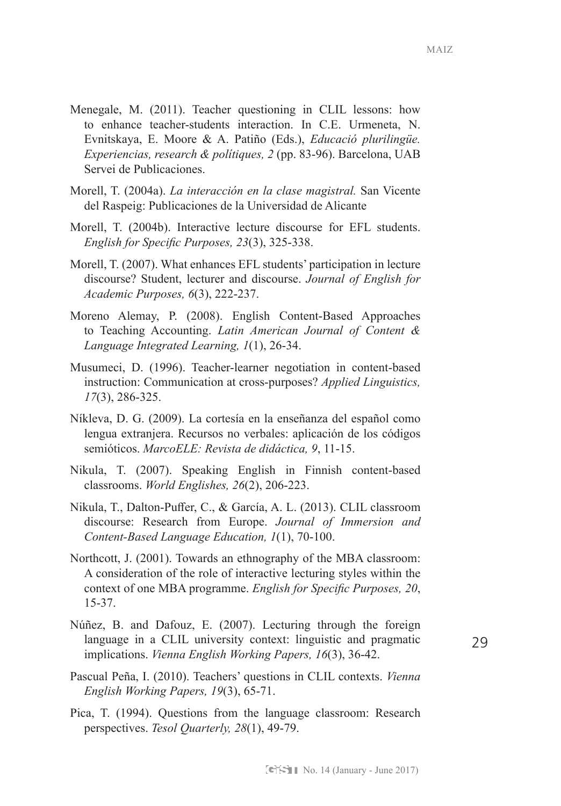- Menegale, M. (2011). Teacher questioning in CLIL lessons: how to enhance teacher-students interaction. In C.E. Urmeneta, N. Evnitskaya, E. Moore & A. Patiño (Eds.), *Educació plurilingüe. Experiencias, research & polítiques, 2* (pp. 83-96). Barcelona, UAB Servei de Publicaciones.
- Morell, T. (2004a). *La interacción en la clase magistral.* San Vicente del Raspeig: Publicaciones de la Universidad de Alicante
- Morell, T. (2004b). Interactive lecture discourse for EFL students. *English for Specific Purposes, 23*(3), 325-338.
- Morell, T. (2007). What enhances EFL students' participation in lecture discourse? Student, lecturer and discourse. *Journal of English for Academic Purposes, 6*(3), 222-237.
- Moreno Alemay, P. (2008). English Content-Based Approaches to Teaching Accounting. *Latin American Journal of Content & Language Integrated Learning, 1*(1), 26-34.
- Musumeci, D. (1996). Teacher-learner negotiation in content-based instruction: Communication at cross-purposes? *Applied Linguistics, 17*(3), 286-325.
- Níkleva, D. G. (2009). La cortesía en la enseñanza del español como lengua extranjera. Recursos no verbales: aplicación de los códigos semióticos. *MarcoELE: Revista de didáctica, 9*, 11-15.
- Nikula, T. (2007). Speaking English in Finnish content‐based classrooms. *World Englishes, 26*(2), 206-223.
- Nikula, T., Dalton-Puffer, C., & García, A. L. (2013). CLIL classroom discourse: Research from Europe. *Journal of Immersion and Content-Based Language Education, 1*(1), 70-100.
- Northcott, J. (2001). Towards an ethnography of the MBA classroom: A consideration of the role of interactive lecturing styles within the context of one MBA programme. *English for Specific Purposes, 20*, 15-37.
- Núñez, B. and Dafouz, E. (2007). Lecturing through the foreign language in a CLIL university context: linguistic and pragmatic implications. *Vienna English Working Papers, 16*(3), 36-42.
- Pascual Peña, I. (2010). Teachers' questions in CLIL contexts. *Vienna English Working Papers, 19*(3), 65-71.
- Pica, T. (1994). Questions from the language classroom: Research perspectives. *Tesol Quarterly, 28*(1), 49-79.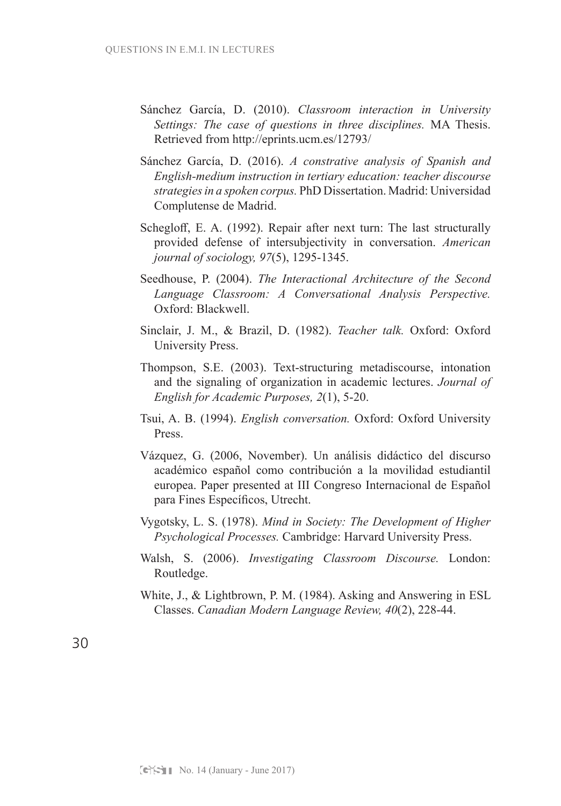- Sánchez García, D. (2010). *Classroom interaction in University Settings: The case of questions in three disciplines.* MA Thesis. Retrieved from http://eprints.ucm.es/12793/
- Sánchez García, D. (2016). *A constrative analysis of Spanish and English-medium instruction in tertiary education: teacher discourse strategies in a spoken corpus.* PhD Dissertation. Madrid: Universidad Complutense de Madrid.
- Schegloff, E. A. (1992). Repair after next turn: The last structurally provided defense of intersubjectivity in conversation. *American journal of sociology, 97*(5), 1295-1345.
- Seedhouse, P. (2004). *The Interactional Architecture of the Second Language Classroom: A Conversational Analysis Perspective.*  Oxford: Blackwell.
- Sinclair, J. M., & Brazil, D. (1982). *Teacher talk.* Oxford: Oxford University Press.
- Thompson, S.E. (2003). Text-structuring metadiscourse, intonation and the signaling of organization in academic lectures. *Journal of English for Academic Purposes, 2*(1), 5-20.
- Tsui, A. B. (1994). *English conversation.* Oxford: Oxford University Press.
- Vázquez, G. (2006, November). Un análisis didáctico del discurso académico español como contribución a la movilidad estudiantil europea. Paper presented at III Congreso Internacional de Español para Fines Específicos, Utrecht.
- Vygotsky, L. S. (1978). *Mind in Society: The Development of Higher Psychological Processes.* Cambridge: Harvard University Press.
- Walsh, S. (2006). *Investigating Classroom Discourse.* London: Routledge.
- White, J., & Lightbrown, P. M. (1984). Asking and Answering in ESL Classes. *Canadian Modern Language Review, 40*(2), 228-44.